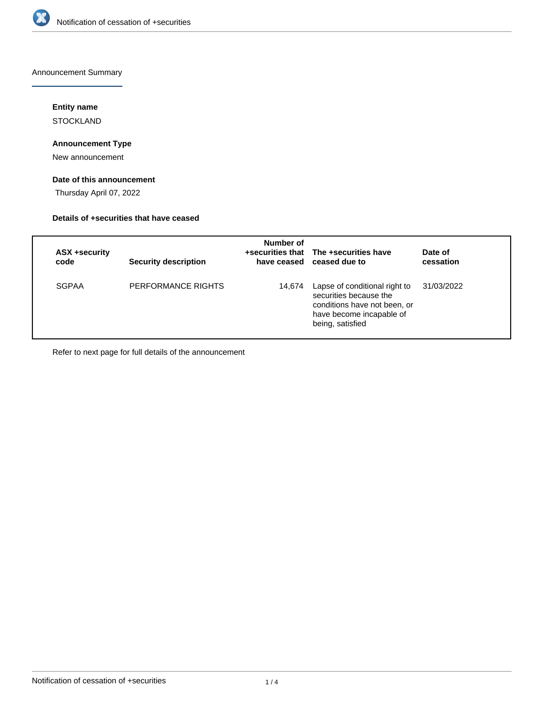

Announcement Summary

# **Entity name**

STOCKLAND

# **Announcement Type**

New announcement

# **Date of this announcement**

Thursday April 07, 2022

### **Details of +securities that have ceased**

| ASX +security<br>code | <b>Security description</b> | Number of | +securities that The +securities have<br>have ceased ceased due to                                                                      | Date of<br>cessation |
|-----------------------|-----------------------------|-----------|-----------------------------------------------------------------------------------------------------------------------------------------|----------------------|
| <b>SGPAA</b>          | PERFORMANCE RIGHTS          | 14,674    | Lapse of conditional right to<br>securities because the<br>conditions have not been, or<br>have become incapable of<br>being, satisfied | 31/03/2022           |

Refer to next page for full details of the announcement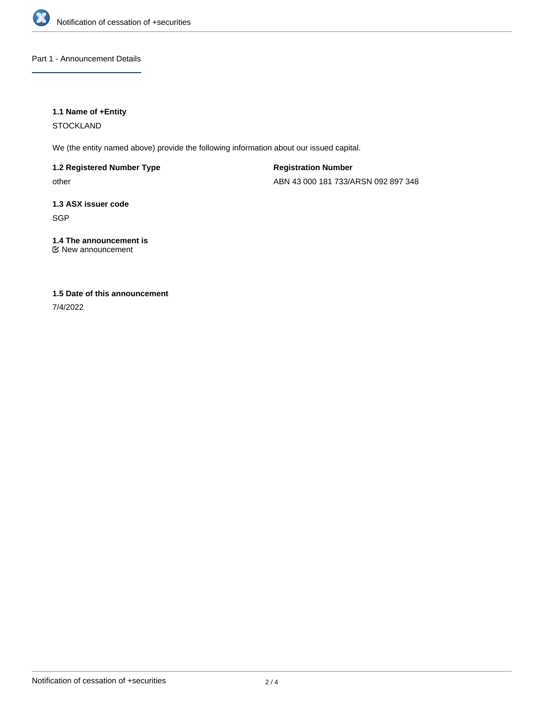

### Part 1 - Announcement Details

### **1.1 Name of +Entity**

**STOCKLAND** 

We (the entity named above) provide the following information about our issued capital.

**1.2 Registered Number Type**

other

**Registration Number** ABN 43 000 181 733/ARSN 092 897 348

**1.3 ASX issuer code**

**SGP** 

**1.4 The announcement is** New announcement

# **1.5 Date of this announcement**

7/4/2022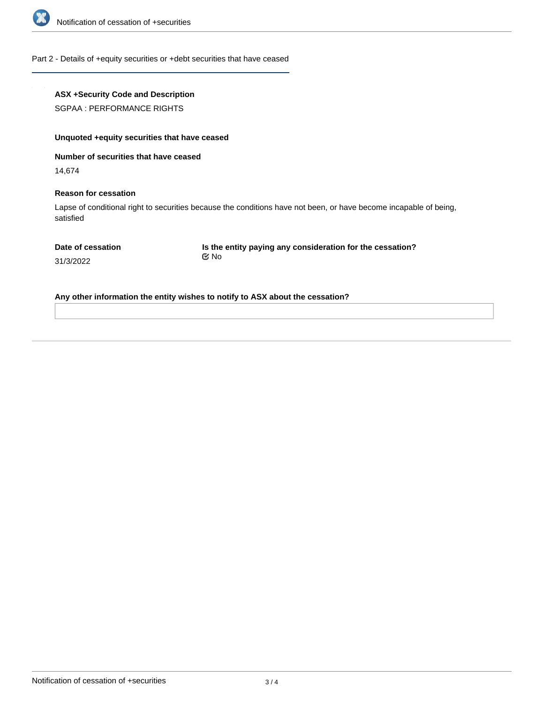

#### Part 2 - Details of +equity securities or +debt securities that have ceased

## **ASX +Security Code and Description**

SGPAA : PERFORMANCE RIGHTS

## **Unquoted +equity securities that have ceased**

**Number of securities that have ceased**

14,674

#### **Reason for cessation**

Lapse of conditional right to securities because the conditions have not been, or have become incapable of being, satisfied

**Is the entity paying any consideration for the cessation?** No

31/3/2022

**Any other information the entity wishes to notify to ASX about the cessation?**